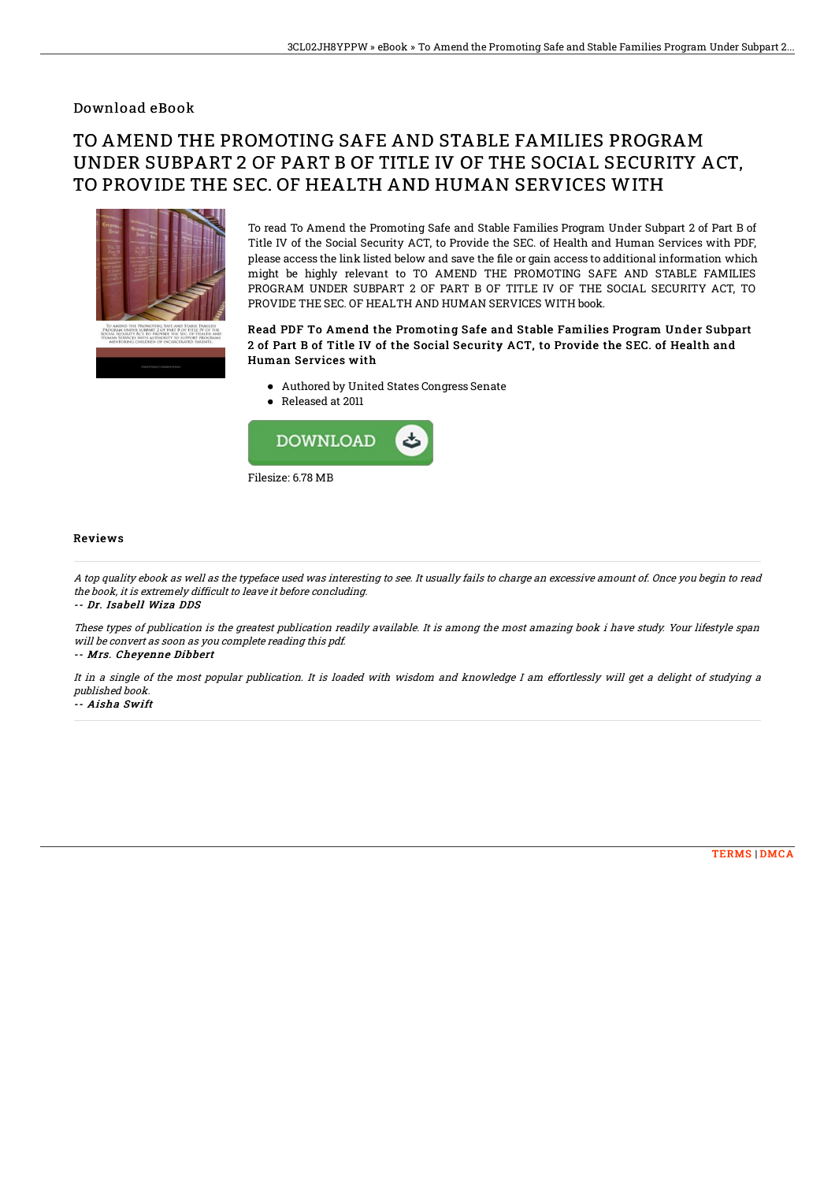### Download eBook

# TO AMEND THE PROMOTING SAFE AND STABLE FAMILIES PROGRAM UNDER SUBPART 2 OF PART B OF TITLE IV OF THE SOCIAL SECURITY ACT, TO PROVIDE THE SEC. OF HEALTH AND HUMAN SERVICES WITH



To read To Amend the Promoting Safe and Stable Families Program Under Subpart 2 of Part B of Title IV of the Social Security ACT, to Provide the SEC. of Health and Human Services with PDF, please access the link listed below and save the file or gain access to additional information which might be highly relevant to TO AMEND THE PROMOTING SAFE AND STABLE FAMILIES PROGRAM UNDER SUBPART 2 OF PART B OF TITLE IV OF THE SOCIAL SECURITY ACT, TO PROVIDE THE SEC. OF HEALTH AND HUMAN SERVICES WITH book.

#### Read PDF To Amend the Promoting Safe and Stable Families Program Under Subpart 2 of Part B of Title IV of the Social Security ACT, to Provide the SEC. of Health and Human Services with

- Authored by United States Congress Senate
- Released at 2011



#### **Reviews**

A top quality ebook as well as the typeface used was interesting to see. It usually fails to charge an excessive amount of. Once you begin to read the book, it is extremely difficult to leave it before concluding.

-- Dr. Isabell Wiza DDS

These types of publication is the greatest publication readily available. It is among the most amazing book i have study. Your lifestyle span will be convert as soon as you complete reading this pdf.

-- Mrs. Cheyenne Dibbert

It in <sup>a</sup> single of the most popular publication. It is loaded with wisdom and knowledge I am effortlessly will get <sup>a</sup> delight of studying <sup>a</sup> published book.

-- Aisha Swift